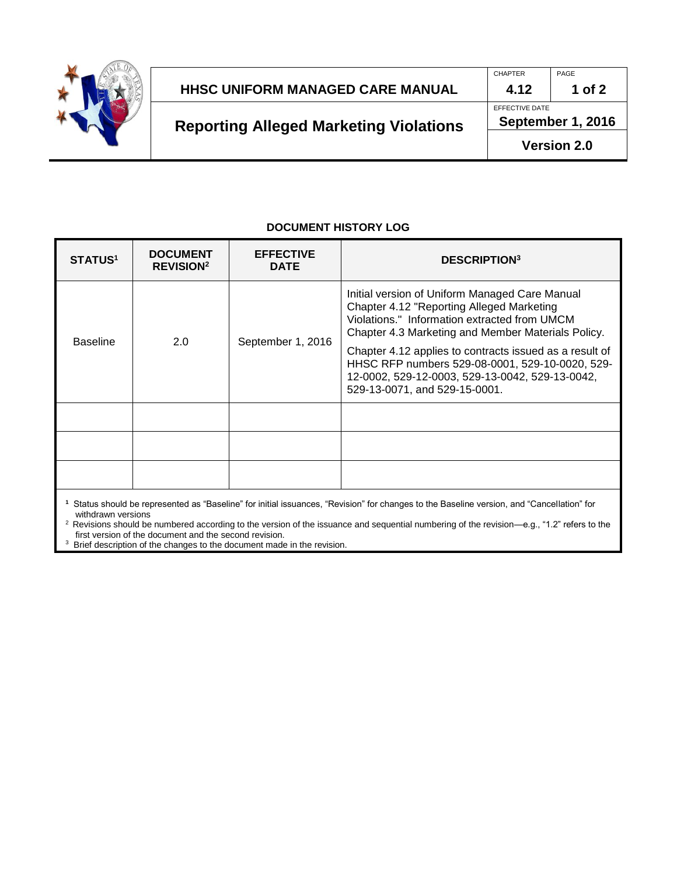

### **HHSC UNIFORM MANAGED CARE MANUAL 4.12 1 of 2**

CHAPTER PAGE

# **Reporting Alleged Marketing Violations**

EFFECTIVE DATE **September 1, 2016**

**Version 2.0**

#### **DOCUMENT HISTORY LOG**

| <b>STATUS<sup>1</sup></b> | <b>DOCUMENT</b><br><b>REVISION<sup>2</sup></b> | <b>EFFECTIVE</b><br><b>DATE</b> | <b>DESCRIPTION</b> <sup>3</sup>                                                                                                                                                                   |
|---------------------------|------------------------------------------------|---------------------------------|---------------------------------------------------------------------------------------------------------------------------------------------------------------------------------------------------|
| <b>Baseline</b>           | 2.0                                            | September 1, 2016               | Initial version of Uniform Managed Care Manual<br>Chapter 4.12 "Reporting Alleged Marketing<br>Violations." Information extracted from UMCM<br>Chapter 4.3 Marketing and Member Materials Policy. |
|                           |                                                |                                 | Chapter 4.12 applies to contracts issued as a result of<br>HHSC RFP numbers 529-08-0001, 529-10-0020, 529-<br>12-0002, 529-12-0003, 529-13-0042, 529-13-0042,<br>529-13-0071, and 529-15-0001.    |
|                           |                                                |                                 |                                                                                                                                                                                                   |
|                           |                                                |                                 |                                                                                                                                                                                                   |
|                           |                                                |                                 |                                                                                                                                                                                                   |

**1** Status should be represented as "Baseline" for initial issuances, "Revision" for changes to the Baseline version, and "Cancellation" for withdrawn versions

<sup>2</sup> Revisions should be numbered according to the version of the issuance and sequential numbering of the revision—e.g., "1.2" refers to the first version of the document and the second revision.

<sup>3</sup> Brief description of the changes to the document made in the revision.